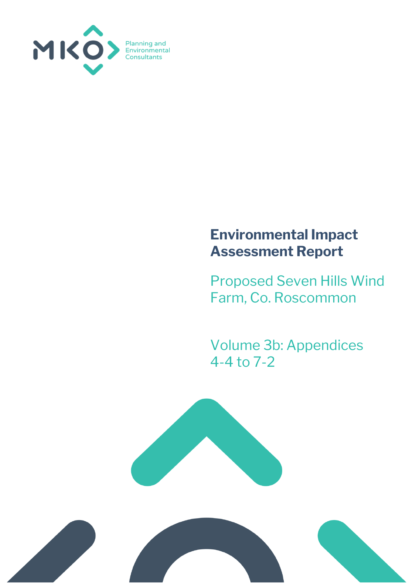

## **Environmental Impact Assessment Report**

Proposed Seven Hills Wind Farm, Co. Roscommon

Volume 3b: Appendices 4-4 to 7-2



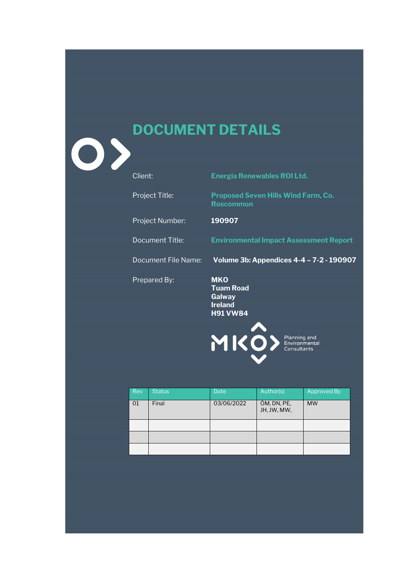## **DOCUMENT DETAILS**

| Client: |  |
|---------|--|
|         |  |

0>

**Energia Renewables ROI Ltd.** 

Project Title: **Proposed Seven Hills Wind Farm, Co. Roscommon**

Project Number: **190907**

Document Title: **Environmental Impact Assessment Report**

Document File Name: **Volume 3b: Appendices 4-4 – 7-2 - 190907**

Prepared By: **MKO**

**Tuam Road Galway Ireland H91 VW84**



| <b>Rev</b> | <b>Status</b> | <b>Date</b> | Author(s)                  | Approved By |
|------------|---------------|-------------|----------------------------|-------------|
| 01         | Final         | 03/06/2022  | ÓM, DN, PE,<br>JH, JW, MW, | <b>MW</b>   |
|            |               |             |                            |             |
|            |               |             |                            |             |
|            |               |             |                            |             |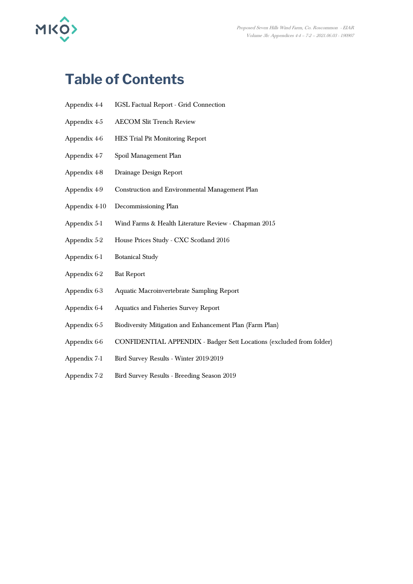

## **Table of Contents**

| Appendix 4-4 | <b>IGSL Factual Report - Grid Connection</b> |
|--------------|----------------------------------------------|
|              |                                              |

- Appendix 4-5 AECOM Slit Trench Review
- Appendix 4-6 HES Trial Pit Monitoring Report
- Appendix 4-7 Spoil Management Plan
- Appendix 4-8 Drainage Design Report
- Appendix 4-9 Construction and Environmental Management Plan
- Appendix 4-10 Decommissioning Plan
- Appendix 5-1 Wind Farms & Health Literature Review Chapman 2015
- Appendix 5-2 House Prices Study CXC Scotland 2016
- Appendix 6-1 Botanical Study
- Appendix 6-2 Bat Report
- Appendix 6-3 Aquatic Macroinvertebrate Sampling Report
- Appendix 6-4 Aquatics and Fisheries Survey Report
- Appendix 6-5 Biodiversity Mitigation and Enhancement Plan (Farm Plan)
- Appendix 6-6 CONFIDENTIAL APPENDIX Badger Sett Locations (excluded from folder)
- Appendix 7-1 Bird Survey Results Winter 2019-2019
- Appendix 7-2 Bird Survey Results Breeding Season 2019